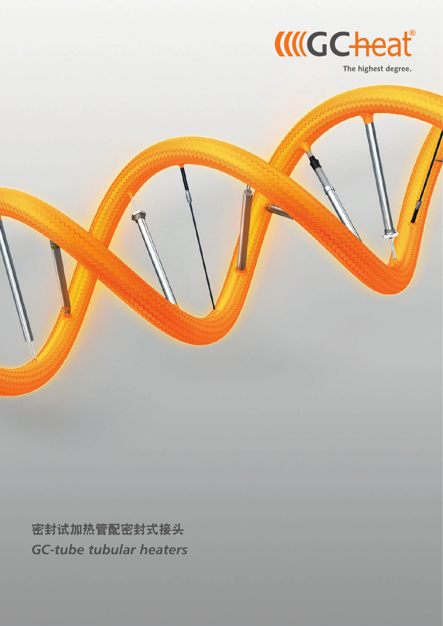

The highest degree.

密封试加热管配密封式接头 *GC-tube tubular heaters*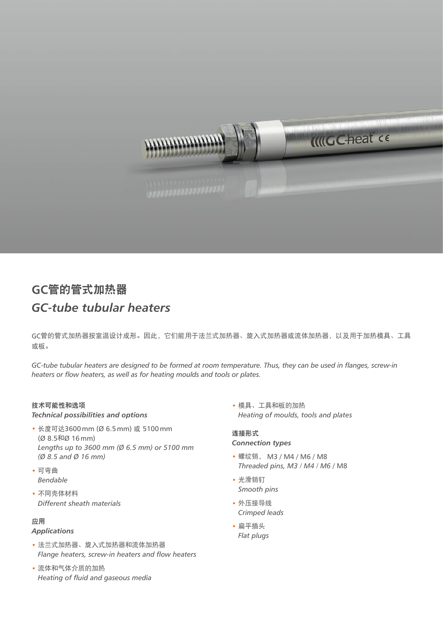

# **GC**管的管式加热器 *GC-tube tubular heaters*

GC管的管式加热器按室温设计成形。因此,它们能用于法兰式加热器、旋入式加热器或流体加热器,以及用于加热模具、工具 或板。

*GC-tube tubular heaters are designed to be formed at room temperature. Thus, they can be used in flanges, screw-in heaters or flow heaters, as well as for heating moulds and tools or plates.*

### 技术可能性和选项

*Technical possibilities and options*

- 长度可达3600mm (Ø 6.5mm) 或 5100mm (Ø 8.5和Ø 16mm) *Lengths up to 3600 mm (Ø 6.5 mm) or 5100 mm (Ø 8.5 and Ø 16 mm)*
- 可弯曲 *Bendable*
- 不同壳体材料 *Different sheath materials*

#### 应用

#### *Applications*

- 法兰式加热器、旋入式加热器和流体加热器 *Flange heaters, screw-in heaters and flow heaters*
- 流体和气体介质的加热 *Heating of fluid and gaseous media*

• 模具、工具和板的加热 *Heating of moulds, tools and plates*

#### 连接形式 *Connection types*

- 螺纹销, M3 / M4 / M6 / M8 *Threaded pins, M3 / M4 / M6* / M8
- 光滑销钉 *Smooth pins*
- 外压接导线 *Crimped leads*
- 扁平插头 *Flat plugs*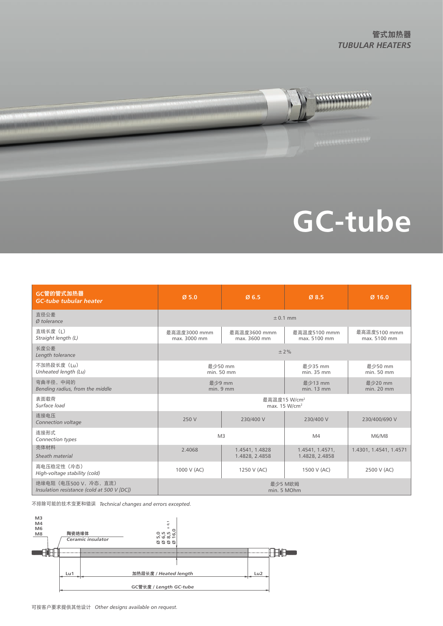

# **GC-tube**

| GC管的管式加热器<br><b>GC-tube tubular heater</b>                           | Ø5.0                                                  | Ø6.5                             | Ø8.5                              | $Ø$ 16.0                     |
|----------------------------------------------------------------------|-------------------------------------------------------|----------------------------------|-----------------------------------|------------------------------|
| 直径公差<br>Ø tolerance                                                  | $\pm$ 0.1 mm                                          |                                  |                                   |                              |
| 直线长度 (1)<br>Straight length (L)                                      | 最高温度3000 mmm<br>max. 3000 mm                          | 最高温度3600 mmm<br>max. 3600 mm     | 最高温度5100 mmm<br>max. 5100 mm      | 最高温度5100 mmm<br>max. 5100 mm |
| 长度公差<br>Length tolerance                                             | ±2%                                                   |                                  |                                   |                              |
| 不加热段长度 (Lu)<br>Unheated length (Lu)                                  | 最少50 mm<br>min. 50 mm                                 |                                  | 最小35 mm<br>min. 35 mm             | 最少50 mm<br>min. 50 mm        |
| 弯曲半径, 中间的<br>Bending radius, from the middle                         | 最少9 mm<br>$min.9$ mm                                  |                                  | 最少13 mm<br>min. 13 mm             | 最少20 mm<br>$min. 20$ mm      |
| 表面载荷<br>Surface load                                                 | 最高温度15 W/cm <sup>2</sup><br>max. 15 W/cm <sup>2</sup> |                                  |                                   |                              |
| 连接电压<br>Connection voltage                                           | 250 V                                                 | 230/400 V                        | 230/400 V                         | 230/400/690 V                |
| 连接形式<br>Connection types                                             | M <sub>3</sub>                                        |                                  | M4                                | M6/M8                        |
| 壳体材料<br>Sheath material                                              | 2.4068                                                | 1.4541, 1.4828<br>1.4828, 2.4858 | 1.4541, 1.4571,<br>1.4828, 2.4858 | 1.4301, 1.4541, 1.4571       |
| 高电压稳定性 (冷态)<br>High-voltage stability (cold)                         | 1000 V (AC)                                           | 1250 V (AC)                      | 1500 V (AC)                       | 2500 V (AC)                  |
| 绝缘电阻 (电压500 V, 冷态, 直流)<br>Insulation resistance (cold at 500 V [DC]) | 最少5 M欧姆<br>min. 5 MOhm                                |                                  |                                   |                              |

不排除可能的技术变更和错误 *Technical changes and errors excepted.*